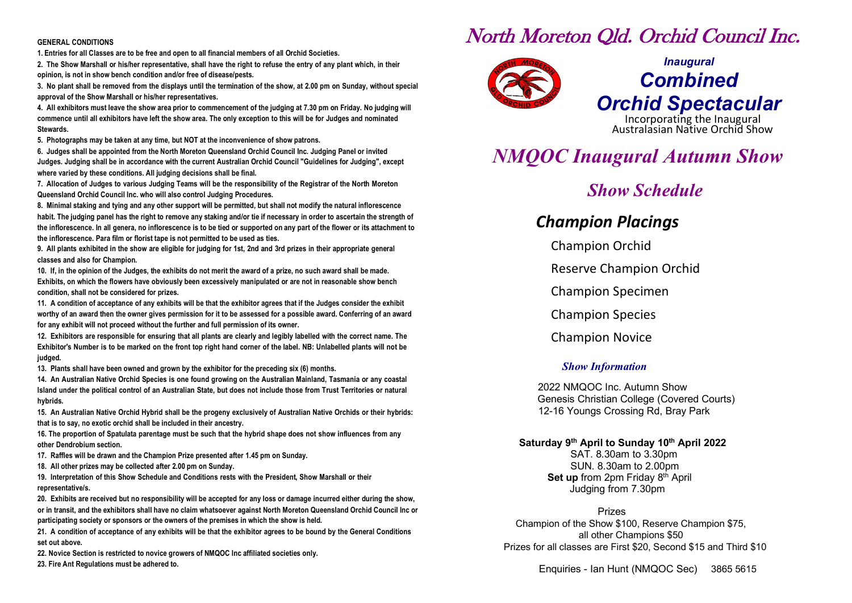### **GENERAL CONDITIONS**

**1. Entries for all Classes are to be free and open to all financial members of all Orchid Societies.**

**2. The Show Marshall or his/her representative, shall have the right to refuse the entry of any plant which, in their opinion, is not in show bench condition and/or free of disease/pests.**

**3. No plant shall be removed from the displays until the termination of the show, at 2.00 pm on Sunday, without special approval of the Show Marshall or his/her representatives.**

**4. All exhibitors must leave the show area prior to commencement of the judging at 7.30 pm on Friday. No judging will commence until all exhibitors have left the show area. The only exception to this will be for Judges and nominated Stewards.**

**5. Photographs may be taken at any time, but NOT at the inconvenience of show patrons.**

**6. Judges shall be appointed from the North Moreton Queensland Orchid Council Inc. Judging Panel or invited Judges. Judging shall be in accordance with the current Australian Orchid Council "Guidelines for Judging", except where varied by these conditions. All judging decisions shall be final.**

**7. Allocation of Judges to various Judging Teams will be the responsibility of the Registrar of the North Moreton Queensland Orchid Council Inc. who will also control Judging Procedures.**

**8. Minimal staking and tying and any other support will be permitted, but shall not modify the natural inflorescence**  habit. The judging panel has the right to remove any staking and/or tie if necessary in order to ascertain the strength of **the inflorescence. In all genera, no inflorescence is to be tied or supported on any part of the flower or its attachment to the inflorescence. Para film or florist tape is not permitted to be used as ties.**

**9. All plants exhibited in the show are eligible for judging for 1st, 2nd and 3rd prizes in their appropriate general classes and also for Champion.**

**10. If, in the opinion of the Judges, the exhibits do not merit the award of a prize, no such award shall be made. Exhibits, on which the flowers have obviously been excessively manipulated or are not in reasonable show bench condition, shall not be considered for prizes.**

**11. A condition of acceptance of any exhibits will be that the exhibitor agrees that if the Judges consider the exhibit worthy of an award then the owner gives permission for it to be assessed for a possible award. Conferring of an award for any exhibit will not proceed without the further and full permission of its owner.**

**12. Exhibitors are responsible for ensuring that all plants are clearly and legibly labelled with the correct name. The Exhibitor's Number is to be marked on the front top right hand corner of the label. NB: Unlabelled plants will not be judged.**

**13. Plants shall have been owned and grown by the exhibitor for the preceding six (6) months.**

**14. An Australian Native Orchid Species is one found growing on the Australian Mainland, Tasmania or any coastal Island under the political control of an Australian State, but does not include those from Trust Territories or natural hybrids.**

**15. An Australian Native Orchid Hybrid shall be the progeny exclusively of Australian Native Orchids or their hybrids: that is to say, no exotic orchid shall be included in their ancestry.**

**16. The proportion of Spatulata parentage must be such that the hybrid shape does not show influences from any other Dendrobium section.**

**17. Raffles will be drawn and the Champion Prize presented after 1.45 pm on Sunday.**

**18. All other prizes may be collected after 2.00 pm on Sunday.**

**19. Interpretation of this Show Schedule and Conditions rests with the President, Show Marshall or their representative/s.**

**20. Exhibits are received but no responsibility will be accepted for any loss or damage incurred either during the show, or in transit, and the exhibitors shall have no claim whatsoever against North Moreton Queensland Orchid Council Inc or participating society or sponsors or the owners of the premises in which the show is held.**

**21. A condition of acceptance of any exhibits will be that the exhibitor agrees to be bound by the General Conditions set out above.**

**22. Novice Section is restricted to novice growers of NMQOC Inc affiliated societies only.**

**23. Fire Ant Regulations must be adhered to.**

# North Moreton Qld. Orchid Council Inc.



# *Inaugural Combined* **Orchid Spectacular**<br>Incorporating the Inaugural<br>Australasian Native Orchid Show

## *NMQOC Inaugural Autumn Show*

## *Show Schedule*

## *Champion Placings*

Champion Orchid

Reserve Champion Orchid

Champion Specimen

Champion Species

Champion Novice

## *Show Information*

2022 NMQOC Inc. Autumn Show Genesis Christian College (Covered Courts) 12-16 Youngs Crossing Rd, Bray Park

## **Saturday 9th April to Sunday 10th April 2022**

SAT. 8.30am to 3.30pm SUN. 8.30am to 2.00pm **Set up** from 2pm Friday 8<sup>th</sup> April Judging from 7.30pm

Prizes Champion of the Show \$100, Reserve Champion \$75, all other Champions \$50 Prizes for all classes are First \$20, Second \$15 and Third \$10

Enquiries - Ian Hunt (NMQOC Sec) 3865 5615